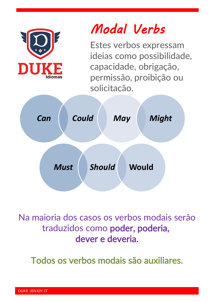

Na maioria dos casos os verbos modais serão traduzidos como poder, poderia, dever e deveria.

Todos os verbos modais são auxiliares.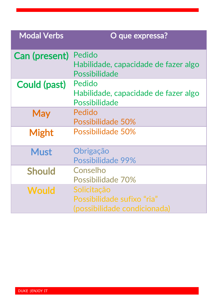| <b>Modal Verbs</b>   | O que expressa?                                                           |
|----------------------|---------------------------------------------------------------------------|
| <b>Can (present)</b> | Pedido<br>Habilidade, capacidade de fazer algo<br><b>Possibilidade</b>    |
| Could (past)         | Pedido<br>Habilidade, capacidade de fazer algo<br>Possibilidade           |
| <b>May</b>           | Pedido<br>Possibilidade 50%                                               |
| <b>Might</b>         | Possibilidade 50%                                                         |
| <b>Must</b>          | Obrigação<br>Possibilidade 99%                                            |
| <b>Should</b>        | Conselho<br>Possibilidade 70%                                             |
| <b>Would</b>         | Solicitação<br>Possibilidade sufixo "ria"<br>(possibilidade condicionada) |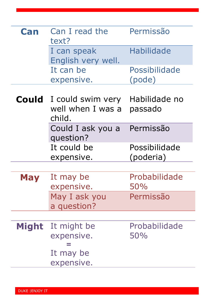| Can          | Can I read the<br>text?                          | Permissão                  |
|--------------|--------------------------------------------------|----------------------------|
|              | I can speak<br>English very well.                | <b>Habilidade</b>          |
|              | It can be<br>expensive.                          | Possibilidade<br>(pode)    |
| <b>Could</b> | I could swim very<br>well when I was a<br>child. | Habilidade no<br>passado   |
|              | Could I ask you a<br>question?                   | Permissão                  |
|              | It could be<br>expensive.                        | Possibilidade<br>(poderia) |
|              |                                                  |                            |
| Mav          | It may be<br>expensive.                          | Probabilidade<br>50%       |
|              | May I ask you<br>a question?                     | Permissão                  |
|              |                                                  |                            |
| <b>Might</b> | It might be<br>expensive.<br>It may be           | Probabilidade<br>50%       |
|              | expensive.                                       |                            |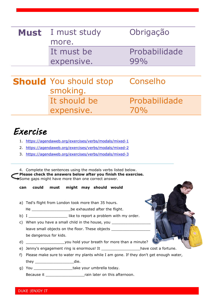| Obrigação<br>I must study<br><b>Must</b>  |  |
|-------------------------------------------|--|
|                                           |  |
| more.                                     |  |
| Probabilidade<br>It must be               |  |
| 99%<br>expensive.                         |  |
|                                           |  |
| <b>Should</b> You should stop<br>Conselho |  |
| smoking.                                  |  |
| It should be<br>Probabilidade             |  |
| expensive.<br>70%                         |  |

## *Exercise*

- 1. <https://agendaweb.org/exercises/verbs/modals/mixed-1>
- 2. <https://agendaweb.org/exercises/verbs/modals/mixed-2>
- 3. <https://agendaweb.org/exercises/verbs/modals/mixed-3>

4. Complete the sentences using the modals verbs listed below. **Please check the answers below after you finish the exercise.** Some gaps might have more than one correct answer.

**can could must might may should would**

- a) Ted's flight from London took more than 35 hours.
	- He \_\_\_\_\_\_\_\_\_\_\_\_\_\_\_\_\_\_\_\_\_\_\_\_be exhausted after the flight.

b) I \_\_\_\_\_\_\_\_\_\_\_\_\_\_\_\_\_\_\_\_\_\_ like to report a problem with my order.

- c) When you have a small child in the house, you leave small objects on the floor. These objects be dangerous for kids.
- d) wou hold your breath for more than a minute?
- e) Jenny's engagement ring is enormous! It \_\_\_\_\_\_\_\_\_\_\_\_\_\_\_\_\_\_\_have cost a fortune.
- f) Please make sure to water my plants while I am gone. If they don't get enough water, they \_\_\_\_\_\_\_\_\_\_\_\_\_\_\_\_\_die.
- g) You \_\_\_\_\_\_\_\_\_\_\_\_\_\_\_\_\_\_\_take your umbrella today.

Because it **Exercise it EXECUTE:** Frain later on this afternoon.